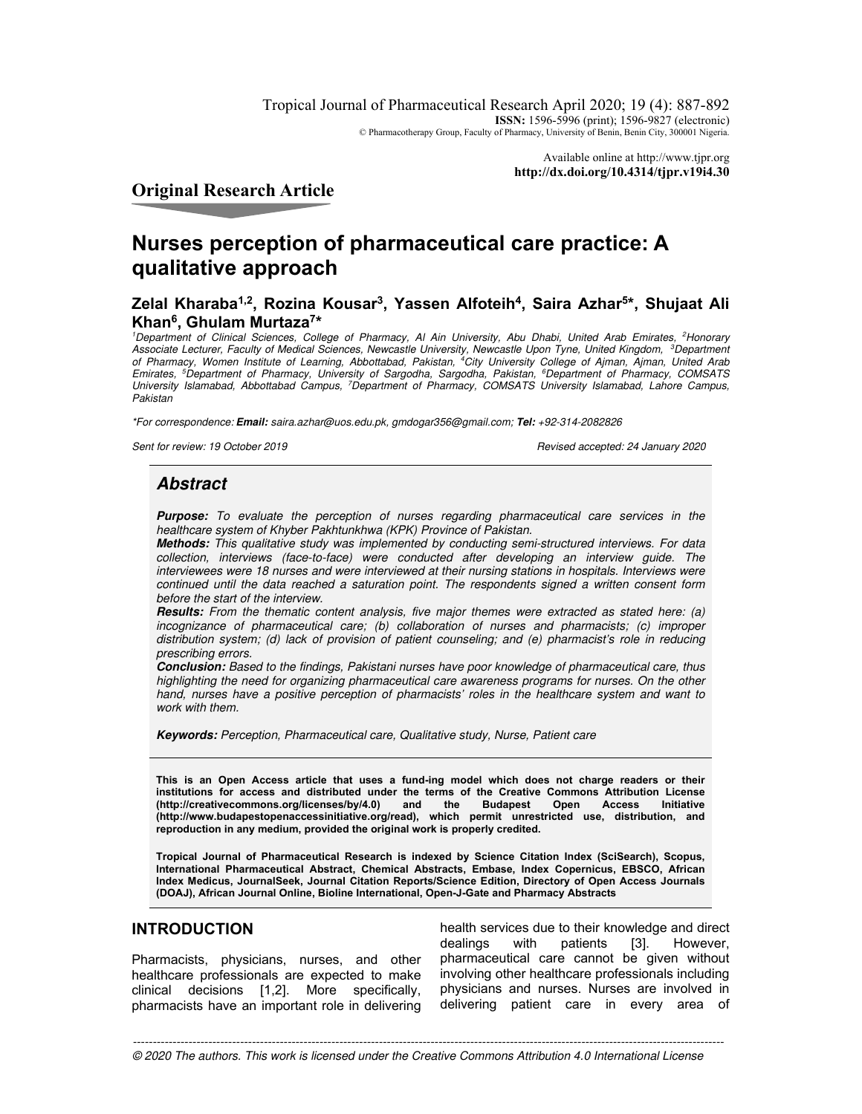Tropical Journal of Pharmaceutical Research April 2020; 19 (4): 887-892 **ISSN:** 1596-5996 (print); 1596-9827 (electronic) © Pharmacotherapy Group, Faculty of Pharmacy, University of Benin, Benin City, 300001 Nigeria.

> Available online at http://www.tjpr.org **http://dx.doi.org/10.4314/tjpr.v19i4.30**

**Original Research Article** 

# **Nurses perception of pharmaceutical care practice: A qualitative approach**

# **Zelal Kharaba1,2, Rozina Kousar<sup>3</sup> , Yassen Alfoteih<sup>4</sup> , Saira Azhar<sup>5</sup> \*, Shujaat Ali Khan<sup>6</sup> , Ghulam Murtaza<sup>7</sup> \***

<sup>1</sup>Department of Clinical Sciences, College of Pharmacy, AI Ain University, Abu Dhabi, United Arab Emirates, <sup>2</sup>Honorary Associate Lecturer, Faculty of Medical Sciences, Newcastle University, Newcastle Upon Tyne, United Kingdom, <sup>3</sup>Department of Pharmacy, Women Institute of Learning, Abbottabad, Pakistan, <sup>4</sup>City University College of Ajman, Ajman, United Arab Emirates, <sup>5</sup>Department of Pharmacy, University of Sargodha, Sargodha, Pakistan, <sup>6</sup>Department of Pharmacy, COMSATS University Islamabad, Abbottabad Campus, <sup>7</sup>Department of Pharmacy, COMSATS University Islamabad, Lahore Campus, Pakistan

\*For correspondence: **Email:** saira.azhar@uos.edu.pk, gmdogar356@gmail.com; **Tel:** +92-314-2082826

Sent for review: 19 October 2019 Revised accepted: 24 January 2020

# **Abstract**

**Purpose:** To evaluate the perception of nurses regarding pharmaceutical care services in the healthcare system of Khyber Pakhtunkhwa (KPK) Province of Pakistan.

**Methods:** This qualitative study was implemented by conducting semi-structured interviews. For data collection, interviews (face-to-face) were conducted after developing an interview guide. The interviewees were 18 nurses and were interviewed at their nursing stations in hospitals. Interviews were continued until the data reached a saturation point. The respondents signed a written consent form before the start of the interview.

**Results:** From the thematic content analysis, five major themes were extracted as stated here: (a) incognizance of pharmaceutical care; (b) collaboration of nurses and pharmacists; (c) improper distribution system; (d) lack of provision of patient counseling; and (e) pharmacist's role in reducing prescribing errors.

**Conclusion:** Based to the findings, Pakistani nurses have poor knowledge of pharmaceutical care, thus highlighting the need for organizing pharmaceutical care awareness programs for nurses. On the other hand, nurses have a positive perception of pharmacists' roles in the healthcare system and want to work with them.

**Keywords:** Perception, Pharmaceutical care, Qualitative study, Nurse, Patient care

**This is an Open Access article that uses a fund-ing model which does not charge readers or their institutions for access and distributed under the terms of the Creative Commons Attribution License**  (http://creativecommons.org/licenses/by/4.0) **(http://www.budapestopenaccessinitiative.org/read), which permit unrestricted use, distribution, and reproduction in any medium, provided the original work is properly credited.** 

**Tropical Journal of Pharmaceutical Research is indexed by Science Citation Index (SciSearch), Scopus, International Pharmaceutical Abstract, Chemical Abstracts, Embase, Index Copernicus, EBSCO, African Index Medicus, JournalSeek, Journal Citation Reports/Science Edition, Directory of Open Access Journals (DOAJ), African Journal Online, Bioline International, Open-J-Gate and Pharmacy Abstracts** 

# **INTRODUCTION**

Pharmacists, physicians, nurses, and other healthcare professionals are expected to make clinical decisions [1,2]. More specifically, pharmacists have an important role in delivering

health services due to their knowledge and direct dealings with patients [3]. However, pharmaceutical care cannot be given without involving other healthcare professionals including physicians and nurses. Nurses are involved in delivering patient care in every area of

*Trop J Pharm Res, April 2020; 19(4):*887 ----------------------------------------------------------------------------------------------------------------------------------------------------- © 2020 The authors. This work is licensed under the Creative Commons Attribution 4.0 International License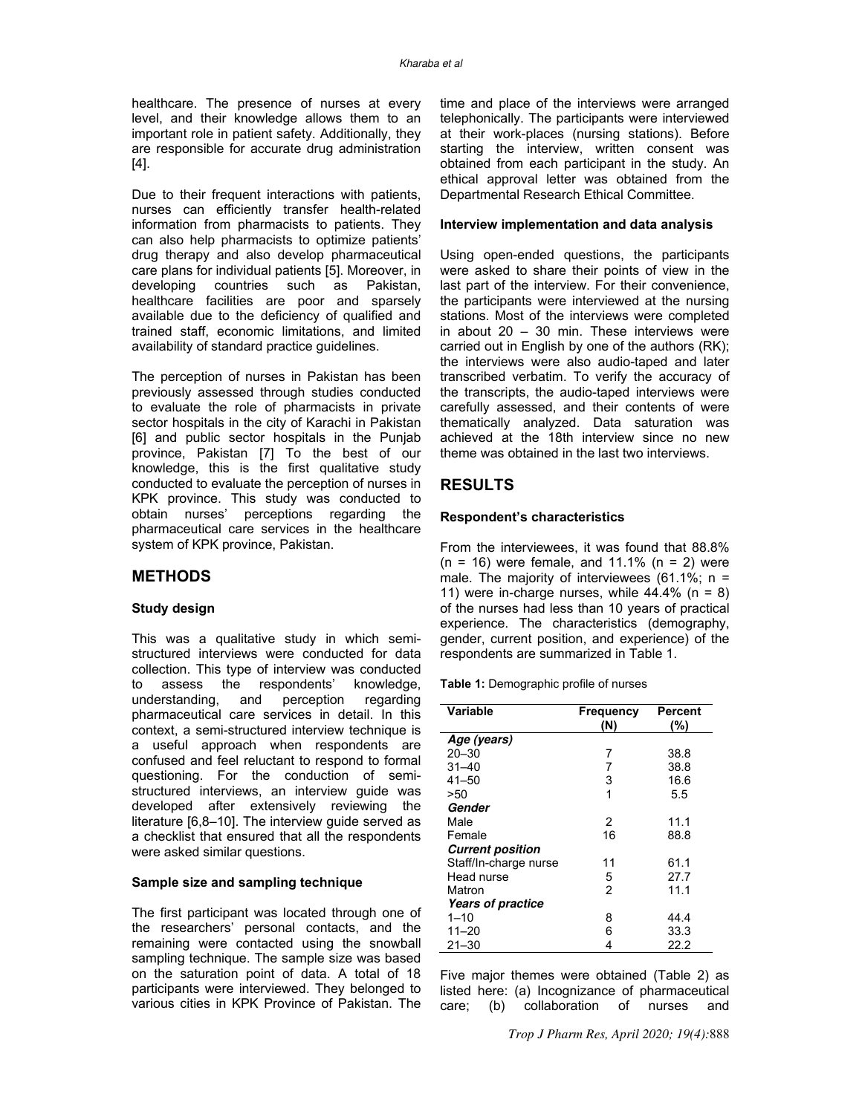healthcare. The presence of nurses at every level, and their knowledge allows them to an important role in patient safety. Additionally, they are responsible for accurate drug administration [4].

Due to their frequent interactions with patients, nurses can efficiently transfer health-related information from pharmacists to patients. They can also help pharmacists to optimize patients' drug therapy and also develop pharmaceutical care plans for individual patients [5]. Moreover, in developing countries such as Pakistan, healthcare facilities are poor and sparsely available due to the deficiency of qualified and trained staff, economic limitations, and limited availability of standard practice guidelines.

The perception of nurses in Pakistan has been previously assessed through studies conducted to evaluate the role of pharmacists in private sector hospitals in the city of Karachi in Pakistan [6] and public sector hospitals in the Punjab province, Pakistan [7] To the best of our knowledge, this is the first qualitative study conducted to evaluate the perception of nurses in KPK province. This study was conducted to obtain nurses' perceptions regarding the pharmaceutical care services in the healthcare system of KPK province, Pakistan.

## **METHODS**

#### **Study design**

This was a qualitative study in which semistructured interviews were conducted for data collection. This type of interview was conducted to assess the respondents' knowledge,<br>understanding, and perception regarding perception regarding pharmaceutical care services in detail. In this context, a semi-structured interview technique is a useful approach when respondents are confused and feel reluctant to respond to formal questioning. For the conduction of semistructured interviews, an interview guide was developed after extensively reviewing the literature [6,8–10]. The interview guide served as a checklist that ensured that all the respondents were asked similar questions.

#### **Sample size and sampling technique**

The first participant was located through one of the researchers' personal contacts, and the remaining were contacted using the snowball sampling technique. The sample size was based on the saturation point of data. A total of 18 participants were interviewed. They belonged to various cities in KPK Province of Pakistan. The

time and place of the interviews were arranged telephonically. The participants were interviewed at their work-places (nursing stations). Before starting the interview, written consent was obtained from each participant in the study. An ethical approval letter was obtained from the Departmental Research Ethical Committee.

#### **Interview implementation and data analysis**

Using open-ended questions, the participants were asked to share their points of view in the last part of the interview. For their convenience, the participants were interviewed at the nursing stations. Most of the interviews were completed in about  $20 - 30$  min. These interviews were carried out in English by one of the authors (RK); the interviews were also audio-taped and later transcribed verbatim. To verify the accuracy of the transcripts, the audio-taped interviews were carefully assessed, and their contents of were thematically analyzed. Data saturation was achieved at the 18th interview since no new theme was obtained in the last two interviews.

## **RESULTS**

#### **Respondent's characteristics**

From the interviewees, it was found that 88.8%  $(n = 16)$  were female, and 11.1%  $(n = 2)$  were male. The majority of interviewees (61.1%;  $n =$ 11) were in-charge nurses, while  $44.4\%$  (n = 8) of the nurses had less than 10 years of practical experience. The characteristics (demography, gender, current position, and experience) of the respondents are summarized in Table 1.

**Table 1:** Demographic profile of nurses

| <b>Variable</b>          | <b>Frequency</b> | Percent |
|--------------------------|------------------|---------|
|                          | (N)              | (%)     |
| Age (years)              |                  |         |
| $20 - 30$                | 7                | 38.8    |
| $31 - 40$                | 7                | 38.8    |
| $41 - 50$                | 3                | 16.6    |
| >50                      | 1                | 5.5     |
| Gender                   |                  |         |
| Male                     | 2                | 11.1    |
| Female                   | 16               | 88.8    |
| <b>Current position</b>  |                  |         |
| Staff/In-charge nurse    | 11               | 61.1    |
| Head nurse               | 5                | 27.7    |
| Matron                   | $\overline{2}$   | 11.1    |
| <b>Years of practice</b> |                  |         |
| $1 - 10$                 | 8                | 44.4    |
| $11 - 20$                | 6                | 33.3    |
| $21 - 30$                | 4                | 22.2    |

Five major themes were obtained (Table 2) as listed here: (a) Incognizance of pharmaceutical care; (b) collaboration of nurses and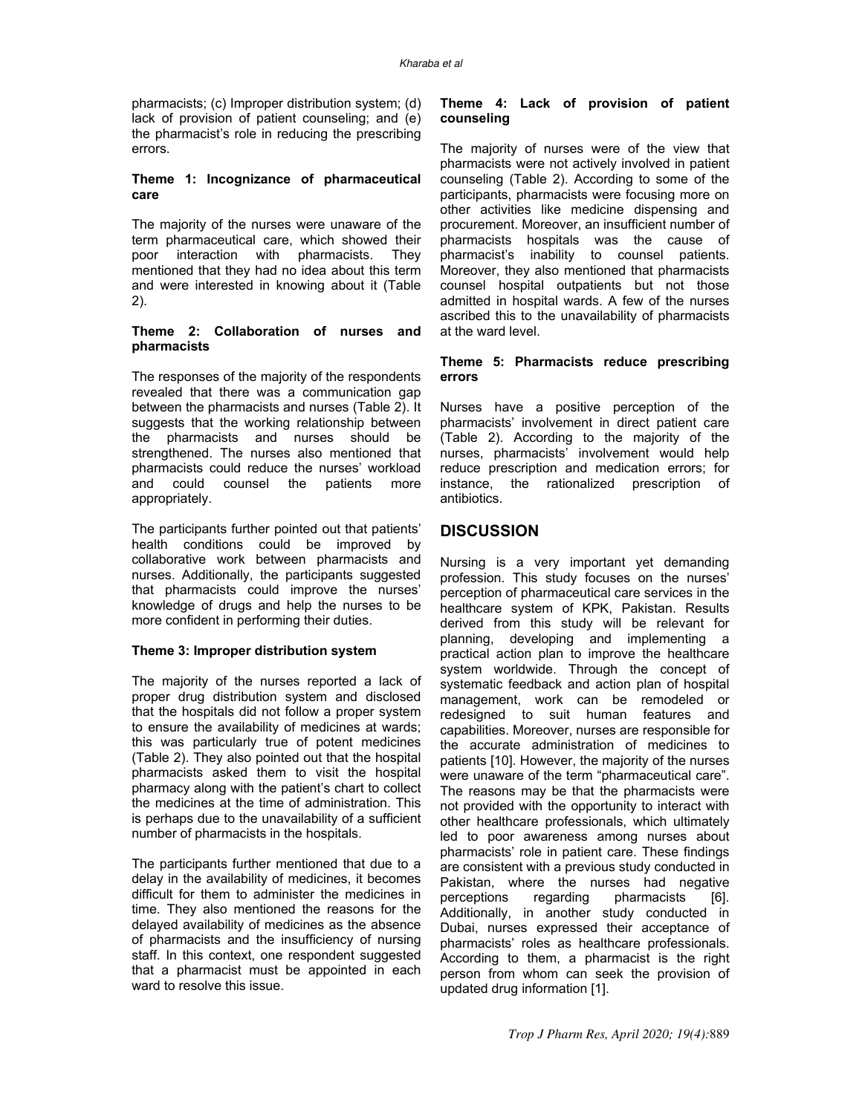pharmacists; (c) Improper distribution system; (d) lack of provision of patient counseling; and (e) the pharmacist's role in reducing the prescribing errors.

### **Theme 1: Incognizance of pharmaceutical care**

The majority of the nurses were unaware of the term pharmaceutical care, which showed their poor interaction with pharmacists. They mentioned that they had no idea about this term and were interested in knowing about it (Table 2).

#### **Theme 2: Collaboration of nurses and pharmacists**

The responses of the majority of the respondents revealed that there was a communication gap between the pharmacists and nurses (Table 2). It suggests that the working relationship between the pharmacists and nurses should be strengthened. The nurses also mentioned that pharmacists could reduce the nurses' workload and could counsel the patients more appropriately.

The participants further pointed out that patients' health conditions could be improved by collaborative work between pharmacists and nurses. Additionally, the participants suggested that pharmacists could improve the nurses' knowledge of drugs and help the nurses to be more confident in performing their duties.

#### **Theme 3: Improper distribution system**

The majority of the nurses reported a lack of proper drug distribution system and disclosed that the hospitals did not follow a proper system to ensure the availability of medicines at wards; this was particularly true of potent medicines (Table 2). They also pointed out that the hospital pharmacists asked them to visit the hospital pharmacy along with the patient's chart to collect the medicines at the time of administration. This is perhaps due to the unavailability of a sufficient number of pharmacists in the hospitals.

The participants further mentioned that due to a delay in the availability of medicines, it becomes difficult for them to administer the medicines in time. They also mentioned the reasons for the delayed availability of medicines as the absence of pharmacists and the insufficiency of nursing staff. In this context, one respondent suggested that a pharmacist must be appointed in each ward to resolve this issue.

### **Theme 4: Lack of provision of patient counseling**

The majority of nurses were of the view that pharmacists were not actively involved in patient counseling (Table 2). According to some of the participants, pharmacists were focusing more on other activities like medicine dispensing and procurement. Moreover, an insufficient number of pharmacists hospitals was the cause of pharmacist's inability to counsel patients. Moreover, they also mentioned that pharmacists counsel hospital outpatients but not those admitted in hospital wards. A few of the nurses ascribed this to the unavailability of pharmacists at the ward level.

### **Theme 5: Pharmacists reduce prescribing errors**

Nurses have a positive perception of the pharmacists' involvement in direct patient care (Table 2). According to the majority of the nurses, pharmacists' involvement would help reduce prescription and medication errors; for instance, the rationalized prescription of antibiotics.

# **DISCUSSION**

Nursing is a very important yet demanding profession. This study focuses on the nurses' perception of pharmaceutical care services in the healthcare system of KPK, Pakistan. Results derived from this study will be relevant for planning, developing and implementing a practical action plan to improve the healthcare system worldwide. Through the concept of systematic feedback and action plan of hospital management, work can be remodeled or redesigned to suit human features and capabilities. Moreover, nurses are responsible for the accurate administration of medicines to patients [10]. However, the majority of the nurses were unaware of the term "pharmaceutical care". The reasons may be that the pharmacists were not provided with the opportunity to interact with other healthcare professionals, which ultimately led to poor awareness among nurses about pharmacists' role in patient care. These findings are consistent with a previous study conducted in Pakistan, where the nurses had negative perceptions regarding pharmacists [6]. Additionally, in another study conducted in Dubai, nurses expressed their acceptance of pharmacists' roles as healthcare professionals. According to them, a pharmacist is the right person from whom can seek the provision of updated drug information [1].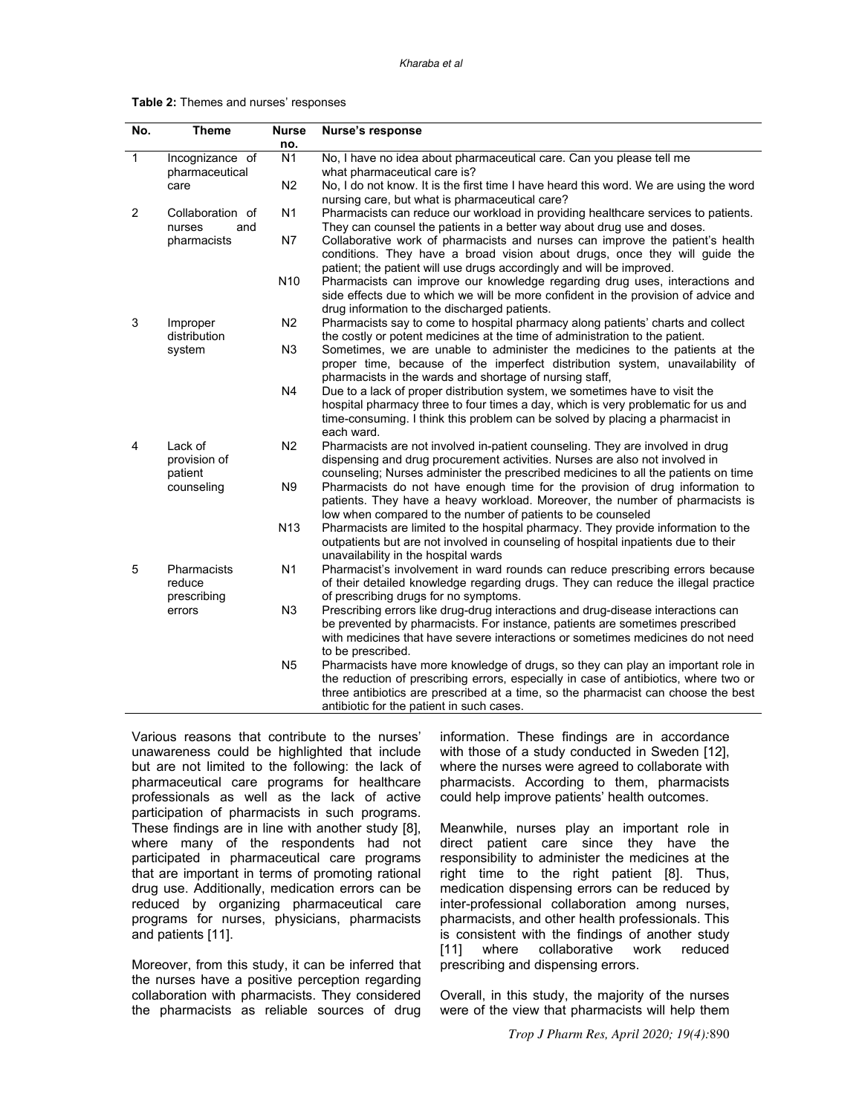#### Kharaba et al

| <b>Table 2:</b> Themes and nurses' responses |  |
|----------------------------------------------|--|
|----------------------------------------------|--|

| No.            | <b>Theme</b>     | <b>Nurse</b>    | Nurse's response                                                                                                      |
|----------------|------------------|-----------------|-----------------------------------------------------------------------------------------------------------------------|
|                |                  | no.             |                                                                                                                       |
| $\mathbf{1}$   | Incognizance of  | N <sub>1</sub>  | No, I have no idea about pharmaceutical care. Can you please tell me                                                  |
|                | pharmaceutical   |                 | what pharmaceutical care is?                                                                                          |
|                | care             | N <sub>2</sub>  | No, I do not know. It is the first time I have heard this word. We are using the word                                 |
|                |                  |                 | nursing care, but what is pharmaceutical care?                                                                        |
| $\overline{2}$ | Collaboration of | N <sub>1</sub>  | Pharmacists can reduce our workload in providing healthcare services to patients.                                     |
|                | and<br>nurses    |                 | They can counsel the patients in a better way about drug use and doses.                                               |
|                | pharmacists      | N7              | Collaborative work of pharmacists and nurses can improve the patient's health                                         |
|                |                  |                 | conditions. They have a broad vision about drugs, once they will guide the                                            |
|                |                  |                 | patient; the patient will use drugs accordingly and will be improved.                                                 |
|                |                  | N10             | Pharmacists can improve our knowledge regarding drug uses, interactions and                                           |
|                |                  |                 | side effects due to which we will be more confident in the provision of advice and                                    |
|                |                  |                 | drug information to the discharged patients.                                                                          |
| 3              | Improper         | N <sub>2</sub>  | Pharmacists say to come to hospital pharmacy along patients' charts and collect                                       |
|                | distribution     |                 | the costly or potent medicines at the time of administration to the patient.                                          |
|                | system           | N <sub>3</sub>  | Sometimes, we are unable to administer the medicines to the patients at the                                           |
|                |                  |                 | proper time, because of the imperfect distribution system, unavailability of                                          |
|                |                  |                 | pharmacists in the wards and shortage of nursing staff,                                                               |
|                |                  | N4              | Due to a lack of proper distribution system, we sometimes have to visit the                                           |
|                |                  |                 | hospital pharmacy three to four times a day, which is very problematic for us and                                     |
|                |                  |                 | time-consuming. I think this problem can be solved by placing a pharmacist in                                         |
|                |                  |                 | each ward.                                                                                                            |
| 4              | Lack of          | N <sub>2</sub>  | Pharmacists are not involved in-patient counseling. They are involved in drug                                         |
|                | provision of     |                 | dispensing and drug procurement activities. Nurses are also not involved in                                           |
|                | patient          |                 | counseling; Nurses administer the prescribed medicines to all the patients on time                                    |
|                | counseling       | N <sub>9</sub>  | Pharmacists do not have enough time for the provision of drug information to                                          |
|                |                  |                 | patients. They have a heavy workload. Moreover, the number of pharmacists is                                          |
|                |                  |                 | low when compared to the number of patients to be counseled                                                           |
|                |                  | N <sub>13</sub> | Pharmacists are limited to the hospital pharmacy. They provide information to the                                     |
|                |                  |                 | outpatients but are not involved in counseling of hospital inpatients due to their                                    |
| 5              | Pharmacists      | N <sub>1</sub>  | unavailability in the hospital wards<br>Pharmacist's involvement in ward rounds can reduce prescribing errors because |
|                | reduce           |                 | of their detailed knowledge regarding drugs. They can reduce the illegal practice                                     |
|                | prescribing      |                 | of prescribing drugs for no symptoms.                                                                                 |
|                | errors           | N <sub>3</sub>  | Prescribing errors like drug-drug interactions and drug-disease interactions can                                      |
|                |                  |                 | be prevented by pharmacists. For instance, patients are sometimes prescribed                                          |
|                |                  |                 | with medicines that have severe interactions or sometimes medicines do not need                                       |
|                |                  |                 | to be prescribed.                                                                                                     |
|                |                  | N <sub>5</sub>  | Pharmacists have more knowledge of drugs, so they can play an important role in                                       |
|                |                  |                 | the reduction of prescribing errors, especially in case of antibiotics, where two or                                  |
|                |                  |                 | three antibiotics are prescribed at a time, so the pharmacist can choose the best                                     |
|                |                  |                 | antibiotic for the patient in such cases.                                                                             |
|                |                  |                 |                                                                                                                       |

Various reasons that contribute to the nurses' unawareness could be highlighted that include but are not limited to the following: the lack of pharmaceutical care programs for healthcare professionals as well as the lack of active participation of pharmacists in such programs. These findings are in line with another study [8], where many of the respondents had not participated in pharmaceutical care programs that are important in terms of promoting rational drug use. Additionally, medication errors can be reduced by organizing pharmaceutical care programs for nurses, physicians, pharmacists and patients [11].

Moreover, from this study, it can be inferred that the nurses have a positive perception regarding collaboration with pharmacists. They considered the pharmacists as reliable sources of drug

information. These findings are in accordance with those of a study conducted in Sweden [12], where the nurses were agreed to collaborate with pharmacists. According to them, pharmacists could help improve patients' health outcomes.

Meanwhile, nurses play an important role in direct patient care since they have the responsibility to administer the medicines at the right time to the right patient [8]. Thus, medication dispensing errors can be reduced by inter-professional collaboration among nurses, pharmacists, and other health professionals. This is consistent with the findings of another study [11] where collaborative work reduced prescribing and dispensing errors.

Overall, in this study, the majority of the nurses were of the view that pharmacists will help them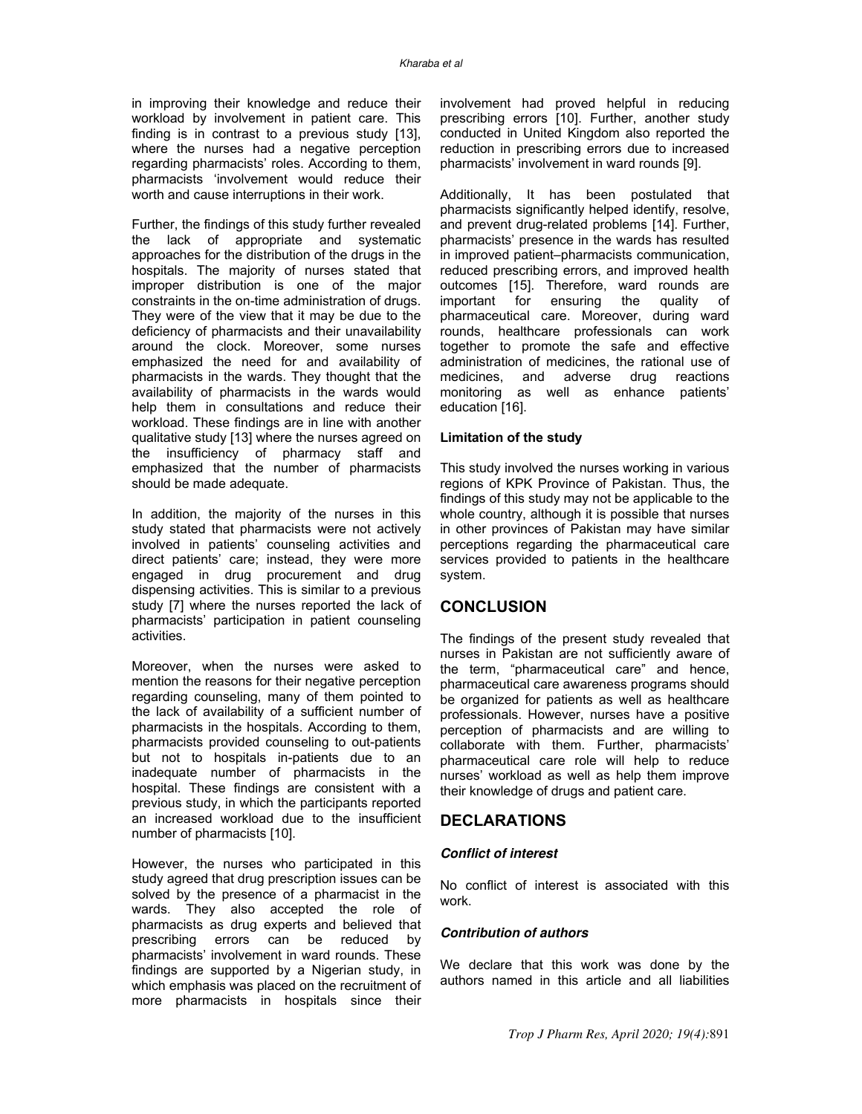in improving their knowledge and reduce their workload by involvement in patient care. This finding is in contrast to a previous study [13], where the nurses had a negative perception regarding pharmacists' roles. According to them, pharmacists 'involvement would reduce their worth and cause interruptions in their work.

Further, the findings of this study further revealed the lack of appropriate and systematic approaches for the distribution of the drugs in the hospitals. The majority of nurses stated that improper distribution is one of the major constraints in the on-time administration of drugs. They were of the view that it may be due to the deficiency of pharmacists and their unavailability around the clock. Moreover, some nurses emphasized the need for and availability of pharmacists in the wards. They thought that the availability of pharmacists in the wards would help them in consultations and reduce their workload. These findings are in line with another qualitative study [13] where the nurses agreed on the insufficiency of pharmacy staff and emphasized that the number of pharmacists should be made adequate.

In addition, the majority of the nurses in this study stated that pharmacists were not actively involved in patients' counseling activities and direct patients' care; instead, they were more engaged in drug procurement and drug dispensing activities. This is similar to a previous study [7] where the nurses reported the lack of pharmacists' participation in patient counseling activities.

Moreover, when the nurses were asked to mention the reasons for their negative perception regarding counseling, many of them pointed to the lack of availability of a sufficient number of pharmacists in the hospitals. According to them, pharmacists provided counseling to out-patients but not to hospitals in-patients due to an inadequate number of pharmacists in the hospital. These findings are consistent with a previous study, in which the participants reported an increased workload due to the insufficient number of pharmacists [10].

However, the nurses who participated in this study agreed that drug prescription issues can be solved by the presence of a pharmacist in the wards. They also accepted the role of pharmacists as drug experts and believed that prescribing errors can be reduced by pharmacists' involvement in ward rounds. These findings are supported by a Nigerian study, in which emphasis was placed on the recruitment of more pharmacists in hospitals since their involvement had proved helpful in reducing prescribing errors [10]. Further, another study conducted in United Kingdom also reported the reduction in prescribing errors due to increased pharmacists' involvement in ward rounds [9].

Additionally, It has been postulated that pharmacists significantly helped identify, resolve, and prevent drug-related problems [14]. Further, pharmacists' presence in the wards has resulted in improved patient–pharmacists communication, reduced prescribing errors, and improved health outcomes [15]. Therefore, ward rounds are<br>important for ensuring the quality of important for ensuring the quality of pharmaceutical care. Moreover, during ward rounds, healthcare professionals can work together to promote the safe and effective administration of medicines, the rational use of medicines, and adverse drug reactions monitoring as well as enhance patients' education [16].

#### **Limitation of the study**

This study involved the nurses working in various regions of KPK Province of Pakistan. Thus, the findings of this study may not be applicable to the whole country, although it is possible that nurses in other provinces of Pakistan may have similar perceptions regarding the pharmaceutical care services provided to patients in the healthcare system.

# **CONCLUSION**

The findings of the present study revealed that nurses in Pakistan are not sufficiently aware of the term, "pharmaceutical care" and hence, pharmaceutical care awareness programs should be organized for patients as well as healthcare professionals. However, nurses have a positive perception of pharmacists and are willing to collaborate with them. Further, pharmacists' pharmaceutical care role will help to reduce nurses' workload as well as help them improve their knowledge of drugs and patient care.

## **DECLARATIONS**

### **Conflict of interest**

No conflict of interest is associated with this work.

### **Contribution of authors**

We declare that this work was done by the authors named in this article and all liabilities